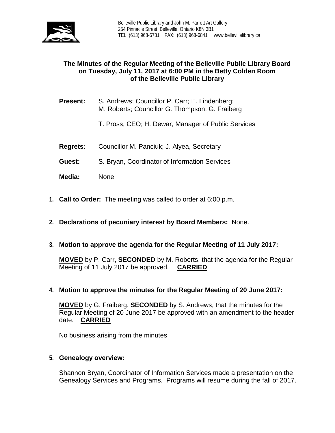

# **The Minutes of the Regular Meeting of the Belleville Public Library Board on Tuesday, July 11, 2017 at 6:00 PM in the Betty Colden Room of the Belleville Public Library**

- **Present:** S. Andrews; Councillor P. Carr; E. Lindenberg; M. Roberts; Councillor G. Thompson, G. Fraiberg
	- T. Pross, CEO; H. Dewar, Manager of Public Services
- **Regrets:** Councillor M. Panciuk; J. Alyea, Secretary
- **Guest:** S. Bryan, Coordinator of Information Services
- **Media:** None
- **1. Call to Order:** The meeting was called to order at 6:00 p.m.
- **2. Declarations of pecuniary interest by Board Members:** None.
- **3. Motion to approve the agenda for the Regular Meeting of 11 July 2017:**

**MOVED** by P. Carr, **SECONDED** by M. Roberts, that the agenda for the Regular Meeting of 11 July 2017 be approved. **CARRIED**

**4. Motion to approve the minutes for the Regular Meeting of 20 June 2017:**

**MOVED** by G. Fraiberg, **SECONDED** by S. Andrews, that the minutes for the Regular Meeting of 20 June 2017 be approved with an amendment to the header date. **CARRIED**

No business arising from the minutes

### **5. Genealogy overview:**

Shannon Bryan, Coordinator of Information Services made a presentation on the Genealogy Services and Programs. Programs will resume during the fall of 2017.